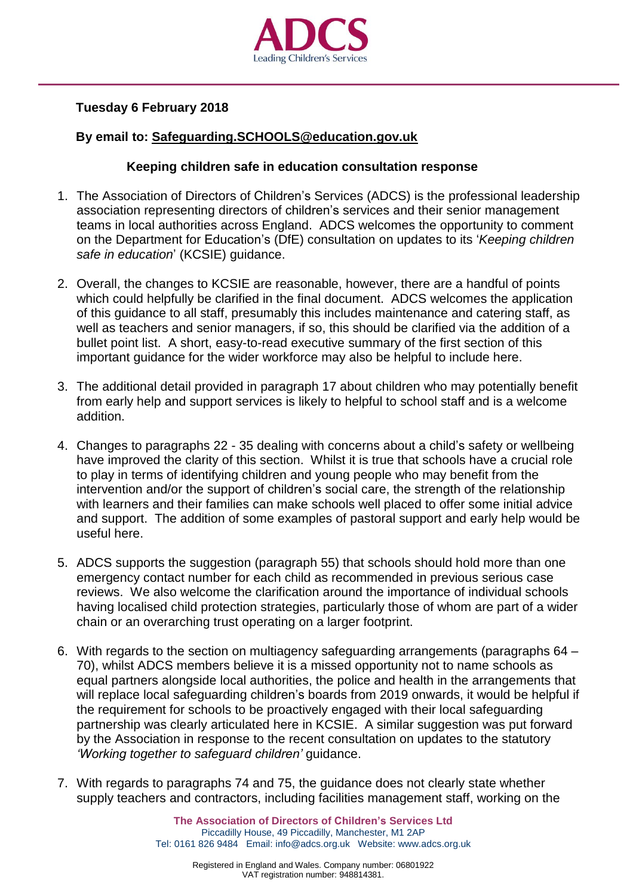

## **Tuesday 6 February 2018**

## **By email to: [Safeguarding.SCHOOLS@education.gov.uk](mailto:Safeguarding.SCHOOLS@education.gov.uk)**

## **Keeping children safe in education consultation response**

- 1. The Association of Directors of Children's Services (ADCS) is the professional leadership association representing directors of children's services and their senior management teams in local authorities across England. ADCS welcomes the opportunity to comment on the Department for Education's (DfE) consultation on updates to its '*Keeping children safe in education*' (KCSIE) guidance.
- 2. Overall, the changes to KCSIE are reasonable, however, there are a handful of points which could helpfully be clarified in the final document. ADCS welcomes the application of this guidance to all staff, presumably this includes maintenance and catering staff, as well as teachers and senior managers, if so, this should be clarified via the addition of a bullet point list. A short, easy-to-read executive summary of the first section of this important guidance for the wider workforce may also be helpful to include here.
- 3. The additional detail provided in paragraph 17 about children who may potentially benefit from early help and support services is likely to helpful to school staff and is a welcome addition.
- 4. Changes to paragraphs 22 35 dealing with concerns about a child's safety or wellbeing have improved the clarity of this section. Whilst it is true that schools have a crucial role to play in terms of identifying children and young people who may benefit from the intervention and/or the support of children's social care, the strength of the relationship with learners and their families can make schools well placed to offer some initial advice and support. The addition of some examples of pastoral support and early help would be useful here.
- 5. ADCS supports the suggestion (paragraph 55) that schools should hold more than one emergency contact number for each child as recommended in previous serious case reviews. We also welcome the clarification around the importance of individual schools having localised child protection strategies, particularly those of whom are part of a wider chain or an overarching trust operating on a larger footprint.
- 6. With regards to the section on multiagency safeguarding arrangements (paragraphs 64 70), whilst ADCS members believe it is a missed opportunity not to name schools as equal partners alongside local authorities, the police and health in the arrangements that will replace local safeguarding children's boards from 2019 onwards, it would be helpful if the requirement for schools to be proactively engaged with their local safeguarding partnership was clearly articulated here in KCSIE. A similar suggestion was put forward by the Association in response to the recent consultation on updates to the statutory *'Working together to safeguard children'* guidance.
- 7. With regards to paragraphs 74 and 75, the guidance does not clearly state whether supply teachers and contractors, including facilities management staff, working on the